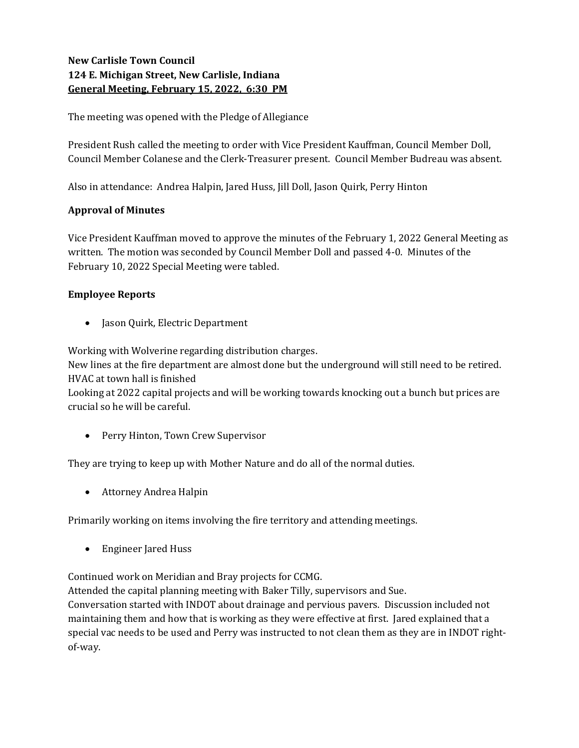# New Carlisle Town Council 124 E. Michigan Street, New Carlisle, Indiana General Meeting, February 15, 2022, 6:30 PM

The meeting was opened with the Pledge of Allegiance

President Rush called the meeting to order with Vice President Kauffman, Council Member Doll, Council Member Colanese and the Clerk-Treasurer present. Council Member Budreau was absent.

Also in attendance: Andrea Halpin, Jared Huss, Jill Doll, Jason Quirk, Perry Hinton

## Approval of Minutes

Vice President Kauffman moved to approve the minutes of the February 1, 2022 General Meeting as written. The motion was seconded by Council Member Doll and passed 4-0. Minutes of the February 10, 2022 Special Meeting were tabled.

## Employee Reports

• Jason Quirk, Electric Department

Working with Wolverine regarding distribution charges.

New lines at the fire department are almost done but the underground will still need to be retired. HVAC at town hall is finished

Looking at 2022 capital projects and will be working towards knocking out a bunch but prices are crucial so he will be careful.

• Perry Hinton, Town Crew Supervisor

They are trying to keep up with Mother Nature and do all of the normal duties.

Attorney Andrea Halpin

Primarily working on items involving the fire territory and attending meetings.

Engineer Jared Huss

Continued work on Meridian and Bray projects for CCMG.

Attended the capital planning meeting with Baker Tilly, supervisors and Sue.

Conversation started with INDOT about drainage and pervious pavers. Discussion included not maintaining them and how that is working as they were effective at first. Jared explained that a special vac needs to be used and Perry was instructed to not clean them as they are in INDOT rightof-way.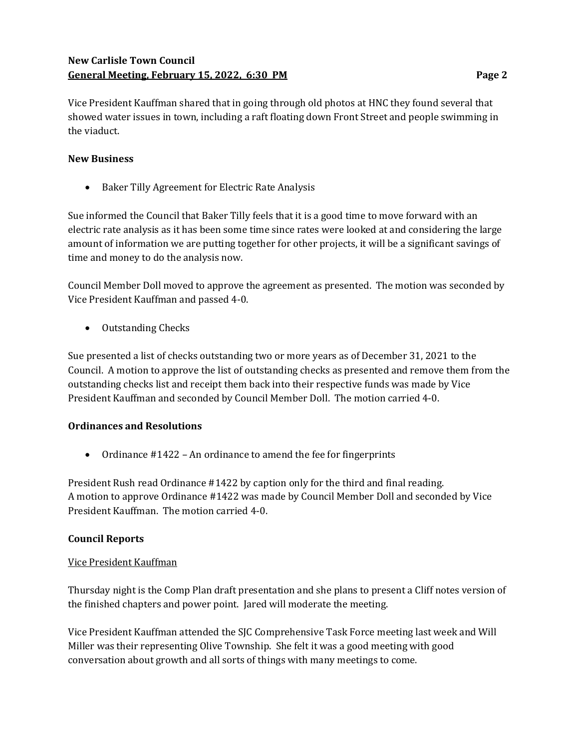# New Carlisle Town Council General Meeting, February 15, 2022, 6:30 PM **Page 2** Page 2

Vice President Kauffman shared that in going through old photos at HNC they found several that showed water issues in town, including a raft floating down Front Street and people swimming in the viaduct.

## New Business

Baker Tilly Agreement for Electric Rate Analysis

Sue informed the Council that Baker Tilly feels that it is a good time to move forward with an electric rate analysis as it has been some time since rates were looked at and considering the large amount of information we are putting together for other projects, it will be a significant savings of time and money to do the analysis now.

Council Member Doll moved to approve the agreement as presented. The motion was seconded by Vice President Kauffman and passed 4-0.

• Outstanding Checks

Sue presented a list of checks outstanding two or more years as of December 31, 2021 to the Council. A motion to approve the list of outstanding checks as presented and remove them from the outstanding checks list and receipt them back into their respective funds was made by Vice President Kauffman and seconded by Council Member Doll. The motion carried 4-0.

### Ordinances and Resolutions

• Ordinance #1422 – An ordinance to amend the fee for fingerprints

President Rush read Ordinance #1422 by caption only for the third and final reading. A motion to approve Ordinance #1422 was made by Council Member Doll and seconded by Vice President Kauffman. The motion carried 4-0.

### Council Reports

### Vice President Kauffman

Thursday night is the Comp Plan draft presentation and she plans to present a Cliff notes version of the finished chapters and power point. Jared will moderate the meeting.

Vice President Kauffman attended the SJC Comprehensive Task Force meeting last week and Will Miller was their representing Olive Township. She felt it was a good meeting with good conversation about growth and all sorts of things with many meetings to come.